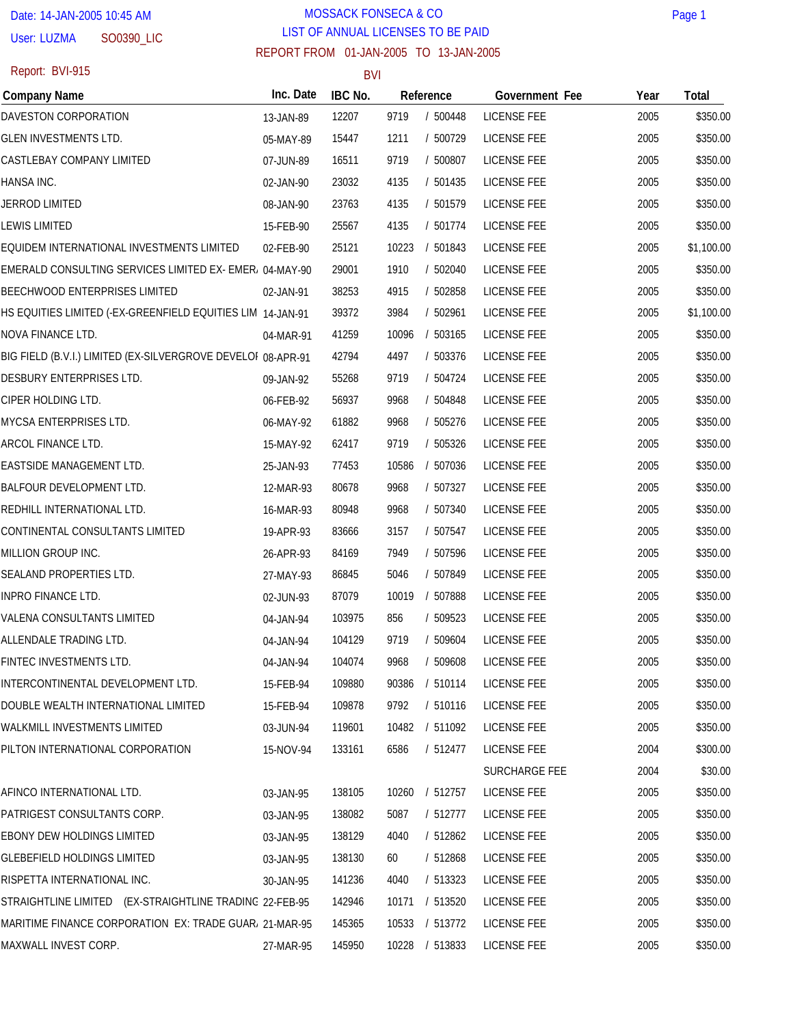SO0390\_LIC User: LUZMA

## Report: BVI-915

## LIST OF ANNUAL LICENSES TO BE PAID REPORT FROM 01-JAN-2005 TO 13-JAN-2005 MOSSACK FONSECA & CO Page 1

BVI

| Company Name                                                 | Inc. Date | IBC No. |       | Reference      | Government Fee       | Year | Total      |
|--------------------------------------------------------------|-----------|---------|-------|----------------|----------------------|------|------------|
| DAVESTON CORPORATION                                         | 13-JAN-89 | 12207   | 9719  | / 500448       | <b>LICENSE FEE</b>   | 2005 | \$350.00   |
| GLEN INVESTMENTS LTD.                                        | 05-MAY-89 | 15447   | 1211  | / 500729       | LICENSE FEE          | 2005 | \$350.00   |
| CASTLEBAY COMPANY LIMITED                                    | 07-JUN-89 | 16511   | 9719  | / 500807       | <b>LICENSE FEE</b>   | 2005 | \$350.00   |
| HANSA INC.                                                   | 02-JAN-90 | 23032   | 4135  | / 501435       | <b>LICENSE FEE</b>   | 2005 | \$350.00   |
| <b>JERROD LIMITED</b>                                        | 08-JAN-90 | 23763   | 4135  | / 501579       | <b>LICENSE FEE</b>   | 2005 | \$350.00   |
| <b>LEWIS LIMITED</b>                                         | 15-FEB-90 | 25567   | 4135  | / 501774       | <b>LICENSE FEE</b>   | 2005 | \$350.00   |
| EQUIDEM INTERNATIONAL INVESTMENTS LIMITED                    | 02-FEB-90 | 25121   | 10223 | / 501843       | <b>LICENSE FEE</b>   | 2005 | \$1,100.00 |
| EMERALD CONSULTING SERVICES LIMITED EX- EMER, 04-MAY-90      |           | 29001   | 1910  | / 502040       | LICENSE FEE          | 2005 | \$350.00   |
| BEECHWOOD ENTERPRISES LIMITED                                | 02-JAN-91 | 38253   | 4915  | / 502858       | <b>LICENSE FEE</b>   | 2005 | \$350.00   |
| HS EQUITIES LIMITED (-EX-GREENFIELD EQUITIES LIM 14-JAN-91   |           | 39372   | 3984  | / 502961       | <b>LICENSE FEE</b>   | 2005 | \$1,100.00 |
| <b>NOVA FINANCE LTD.</b>                                     | 04-MAR-91 | 41259   | 10096 | / 503165       | <b>LICENSE FEE</b>   | 2005 | \$350.00   |
| BIG FIELD (B.V.I.) LIMITED (EX-SILVERGROVE DEVELOI 08-APR-91 |           | 42794   | 4497  | / 503376       | <b>LICENSE FEE</b>   | 2005 | \$350.00   |
| DESBURY ENTERPRISES LTD.                                     | 09-JAN-92 | 55268   | 9719  | / 504724       | <b>LICENSE FEE</b>   | 2005 | \$350.00   |
| CIPER HOLDING LTD.                                           | 06-FEB-92 | 56937   | 9968  | / 504848       | <b>LICENSE FEE</b>   | 2005 | \$350.00   |
| MYCSA ENTERPRISES LTD.                                       | 06-MAY-92 | 61882   | 9968  | / 505276       | <b>LICENSE FEE</b>   | 2005 | \$350.00   |
| <b>ARCOL FINANCE LTD.</b>                                    | 15-MAY-92 | 62417   | 9719  | / 505326       | LICENSE FEE          | 2005 | \$350.00   |
| EASTSIDE MANAGEMENT LTD.                                     | 25-JAN-93 | 77453   | 10586 | / 507036       | <b>LICENSE FEE</b>   | 2005 | \$350.00   |
| BALFOUR DEVELOPMENT LTD.                                     | 12-MAR-93 | 80678   | 9968  | / 507327       | <b>LICENSE FEE</b>   | 2005 | \$350.00   |
| REDHILL INTERNATIONAL LTD.                                   | 16-MAR-93 | 80948   | 9968  | / 507340       | <b>LICENSE FEE</b>   | 2005 | \$350.00   |
| CONTINENTAL CONSULTANTS LIMITED                              | 19-APR-93 | 83666   | 3157  | / 507547       | <b>LICENSE FEE</b>   | 2005 | \$350.00   |
| MILLION GROUP INC.                                           | 26-APR-93 | 84169   | 7949  | / 507596       | <b>LICENSE FEE</b>   | 2005 | \$350.00   |
| SEALAND PROPERTIES LTD.                                      | 27-MAY-93 | 86845   | 5046  | / 507849       | <b>LICENSE FEE</b>   | 2005 | \$350.00   |
| <b>INPRO FINANCE LTD.</b>                                    | 02-JUN-93 | 87079   | 10019 | / 507888       | <b>LICENSE FEE</b>   | 2005 | \$350.00   |
| VALENA CONSULTANTS LIMITED                                   | 04-JAN-94 | 103975  | 856   | / 509523       | <b>LICENSE FEE</b>   | 2005 | \$350.00   |
| ALLENDALE TRADING LTD.                                       | 04-JAN-94 | 104129  | 9719  | / 509604       | <b>LICENSE FEE</b>   | 2005 | \$350.00   |
| <b>FINTEC INVESTMENTS LTD.</b>                               | 04-JAN-94 | 104074  | 9968  | / 509608       | <b>LICENSE FEE</b>   | 2005 | \$350.00   |
| INTERCONTINENTAL DEVELOPMENT LTD.                            | 15-FEB-94 | 109880  | 90386 | / 510114       | <b>LICENSE FEE</b>   | 2005 | \$350.00   |
| DOUBLE WEALTH INTERNATIONAL LIMITED                          | 15-FEB-94 | 109878  | 9792  | / 510116       | <b>LICENSE FEE</b>   | 2005 | \$350.00   |
| WALKMILL INVESTMENTS LIMITED                                 | 03-JUN-94 | 119601  | 10482 | / 511092       | <b>LICENSE FEE</b>   | 2005 | \$350.00   |
| PILTON INTERNATIONAL CORPORATION                             | 15-NOV-94 | 133161  | 6586  | / 512477       | LICENSE FEE          | 2004 | \$300.00   |
|                                                              |           |         |       |                | <b>SURCHARGE FEE</b> | 2004 | \$30.00    |
| AFINCO INTERNATIONAL LTD.                                    | 03-JAN-95 | 138105  | 10260 | / 512757       | LICENSE FEE          | 2005 | \$350.00   |
| PATRIGEST CONSULTANTS CORP.                                  | 03-JAN-95 | 138082  | 5087  | / 512777       | LICENSE FEE          | 2005 | \$350.00   |
| EBONY DEW HOLDINGS LIMITED                                   | 03-JAN-95 | 138129  | 4040  | / 512862       | LICENSE FEE          | 2005 | \$350.00   |
| <b>GLEBEFIELD HOLDINGS LIMITED</b>                           | 03-JAN-95 | 138130  | 60    | / 512868       | <b>LICENSE FEE</b>   | 2005 | \$350.00   |
| RISPETTA INTERNATIONAL INC.                                  | 30-JAN-95 | 141236  | 4040  | / 513323       | LICENSE FEE          | 2005 | \$350.00   |
| STRAIGHTLINE LIMITED (EX-STRAIGHTLINE TRADING 22-FEB-95      |           | 142946  | 10171 | / 513520       | LICENSE FEE          | 2005 | \$350.00   |
| MARITIME FINANCE CORPORATION EX: TRADE GUAR, 21-MAR-95       |           | 145365  |       | 10533 / 513772 | LICENSE FEE          | 2005 | \$350.00   |
| MAXWALL INVEST CORP.                                         | 27-MAR-95 | 145950  |       | 10228 / 513833 | <b>LICENSE FEE</b>   | 2005 | \$350.00   |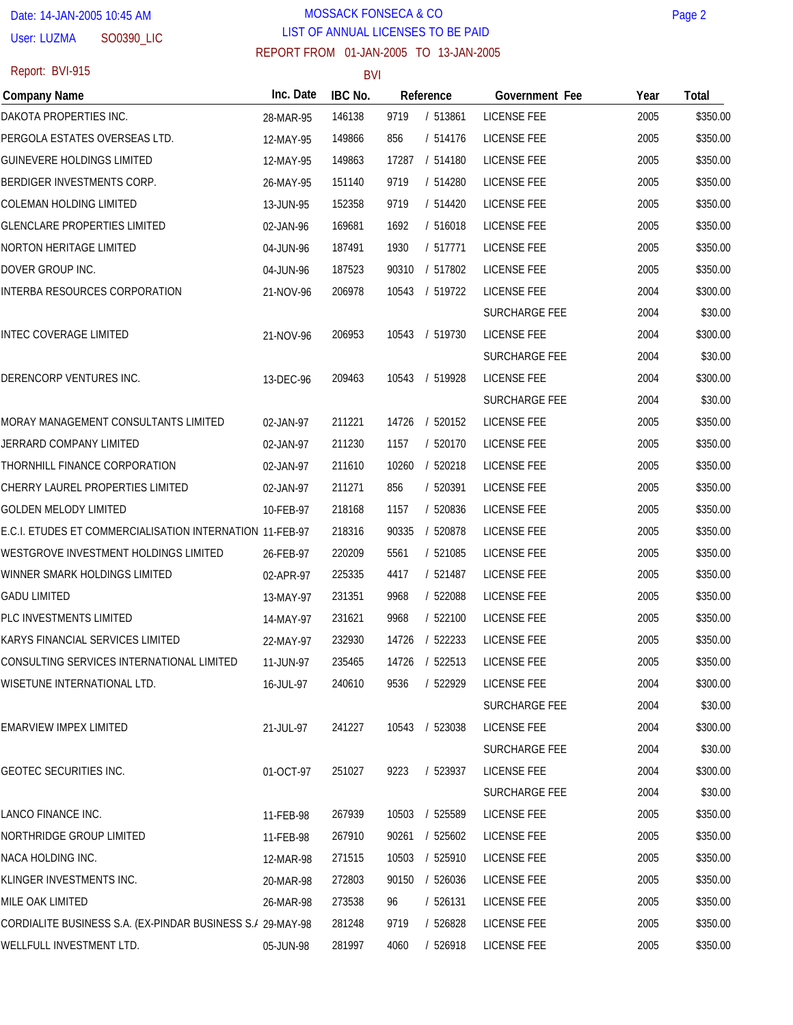SO0390\_LIC User: LUZMA

## LIST OF ANNUAL LICENSES TO BE PAID REPORT FROM 01-JAN-2005 TO 13-JAN-2005 MOSSACK FONSECA & CO Page 2

Report: BVI-915

BVI

| Company Name                                               | Inc. Date | IBC No. |       | Reference      | Government Fee       | Year | Total    |
|------------------------------------------------------------|-----------|---------|-------|----------------|----------------------|------|----------|
| DAKOTA PROPERTIES INC.                                     | 28-MAR-95 | 146138  | 9719  | / 513861       | <b>LICENSE FEE</b>   | 2005 | \$350.00 |
| PERGOLA ESTATES OVERSEAS LTD.                              | 12-MAY-95 | 149866  | 856   | / 514176       | <b>LICENSE FEE</b>   | 2005 | \$350.00 |
| <b>GUINEVERE HOLDINGS LIMITED</b>                          | 12-MAY-95 | 149863  | 17287 | / 514180       | LICENSE FEE          | 2005 | \$350.00 |
| BERDIGER INVESTMENTS CORP.                                 | 26-MAY-95 | 151140  | 9719  | / 514280       | <b>LICENSE FEE</b>   | 2005 | \$350.00 |
| <b>COLEMAN HOLDING LIMITED</b>                             | 13-JUN-95 | 152358  | 9719  | / 514420       | <b>LICENSE FEE</b>   | 2005 | \$350.00 |
| <b>GLENCLARE PROPERTIES LIMITED</b>                        | 02-JAN-96 | 169681  | 1692  | / 516018       | <b>LICENSE FEE</b>   | 2005 | \$350.00 |
| <b>NORTON HERITAGE LIMITED</b>                             | 04-JUN-96 | 187491  | 1930  | / 517771       | <b>LICENSE FEE</b>   | 2005 | \$350.00 |
| DOVER GROUP INC.                                           | 04-JUN-96 | 187523  | 90310 | / 517802       | LICENSE FEE          | 2005 | \$350.00 |
| INTERBA RESOURCES CORPORATION                              | 21-NOV-96 | 206978  | 10543 | / 519722       | <b>LICENSE FEE</b>   | 2004 | \$300.00 |
|                                                            |           |         |       |                | SURCHARGE FEE        | 2004 | \$30.00  |
| <b>INTEC COVERAGE LIMITED</b>                              | 21-NOV-96 | 206953  |       | 10543 / 519730 | <b>LICENSE FEE</b>   | 2004 | \$300.00 |
|                                                            |           |         |       |                | <b>SURCHARGE FEE</b> | 2004 | \$30.00  |
| DERENCORP VENTURES INC.                                    | 13-DEC-96 | 209463  | 10543 | / 519928       | <b>LICENSE FEE</b>   | 2004 | \$300.00 |
|                                                            |           |         |       |                | SURCHARGE FEE        | 2004 | \$30.00  |
| MORAY MANAGEMENT CONSULTANTS LIMITED                       | 02-JAN-97 | 211221  | 14726 | / 520152       | <b>LICENSE FEE</b>   | 2005 | \$350.00 |
| JERRARD COMPANY LIMITED                                    | 02-JAN-97 | 211230  | 1157  | / 520170       | <b>LICENSE FEE</b>   | 2005 | \$350.00 |
| THORNHILL FINANCE CORPORATION                              | 02-JAN-97 | 211610  | 10260 | / 520218       | LICENSE FEE          | 2005 | \$350.00 |
| CHERRY LAUREL PROPERTIES LIMITED                           | 02-JAN-97 | 211271  | 856   | / 520391       | <b>LICENSE FEE</b>   | 2005 | \$350.00 |
| <b>GOLDEN MELODY LIMITED</b>                               | 10-FEB-97 | 218168  | 1157  | / 520836       | <b>LICENSE FEE</b>   | 2005 | \$350.00 |
| E.C.I. ETUDES ET COMMERCIALISATION INTERNATION 11-FEB-97   |           | 218316  | 90335 | / 520878       | <b>LICENSE FEE</b>   | 2005 | \$350.00 |
| WESTGROVE INVESTMENT HOLDINGS LIMITED                      | 26-FEB-97 | 220209  | 5561  | / 521085       | <b>LICENSE FEE</b>   | 2005 | \$350.00 |
| WINNER SMARK HOLDINGS LIMITED                              | 02-APR-97 | 225335  | 4417  | / 521487       | <b>LICENSE FEE</b>   | 2005 | \$350.00 |
| <b>GADU LIMITED</b>                                        | 13-MAY-97 | 231351  | 9968  | / 522088       | <b>LICENSE FEE</b>   | 2005 | \$350.00 |
| PLC INVESTMENTS LIMITED                                    | 14-MAY-97 | 231621  | 9968  | / 522100       | <b>LICENSE FEE</b>   | 2005 | \$350.00 |
| KARYS FINANCIAL SERVICES LIMITED                           | 22-MAY-97 | 232930  | 14726 | / 522233       | <b>LICENSE FEE</b>   | 2005 | \$350.00 |
| CONSULTING SERVICES INTERNATIONAL LIMITED                  | 11-JUN-97 | 235465  |       | 14726 / 522513 | <b>LICENSE FEE</b>   | 2005 | \$350.00 |
| WISETUNE INTERNATIONAL LTD.                                | 16-JUL-97 | 240610  | 9536  | / 522929       | LICENSE FEE          | 2004 | \$300.00 |
|                                                            |           |         |       |                | <b>SURCHARGE FEE</b> | 2004 | \$30.00  |
| <b>EMARVIEW IMPEX LIMITED</b>                              | 21-JUL-97 | 241227  |       | 10543 / 523038 | LICENSE FEE          | 2004 | \$300.00 |
|                                                            |           |         |       |                | SURCHARGE FEE        | 2004 | \$30.00  |
| GEOTEC SECURITIES INC.                                     | 01-OCT-97 | 251027  | 9223  | / 523937       | LICENSE FEE          | 2004 | \$300.00 |
|                                                            |           |         |       |                | <b>SURCHARGE FEE</b> | 2004 | \$30.00  |
| LANCO FINANCE INC.                                         | 11-FEB-98 | 267939  | 10503 | / 525589       | LICENSE FEE          | 2005 | \$350.00 |
| NORTHRIDGE GROUP LIMITED                                   | 11-FEB-98 | 267910  | 90261 | / 525602       | LICENSE FEE          | 2005 | \$350.00 |
| NACA HOLDING INC.                                          | 12-MAR-98 | 271515  | 10503 | / 525910       | <b>LICENSE FEE</b>   | 2005 | \$350.00 |
| KLINGER INVESTMENTS INC.                                   | 20-MAR-98 | 272803  | 90150 | / 526036       | LICENSE FEE          | 2005 | \$350.00 |
| MILE OAK LIMITED                                           | 26-MAR-98 | 273538  | 96    | / 526131       | LICENSE FEE          | 2005 | \$350.00 |
| CORDIALITE BUSINESS S.A. (EX-PINDAR BUSINESS S.I 29-MAY-98 |           | 281248  | 9719  | / 526828       | LICENSE FEE          | 2005 | \$350.00 |
| WELLFULL INVESTMENT LTD.                                   | 05-JUN-98 | 281997  | 4060  | / 526918       | LICENSE FEE          | 2005 | \$350.00 |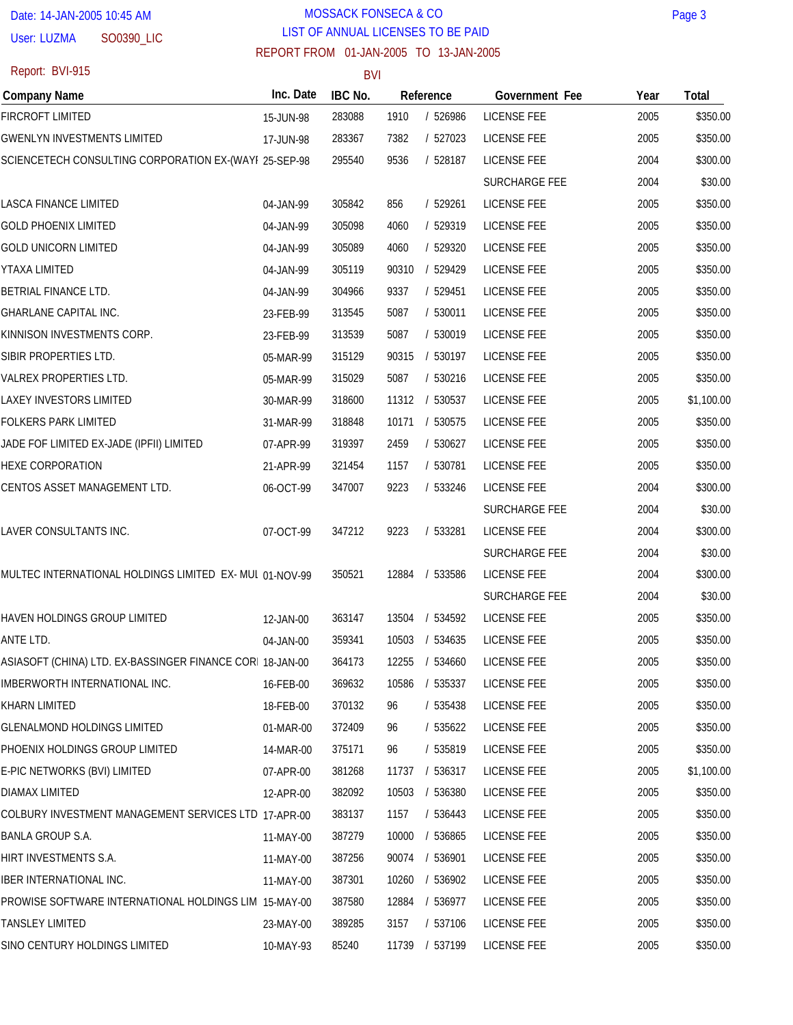SO0390\_LIC **User: LUZMA** 

## LIST OF ANNUAL LICENSES TO BE PAID REPORT FROM 01-JAN-2005 TO 13-JAN-2005 MOSSACK FONSECA & CO Page 3

BVI

**Company Name Inc. Date IBC No. Reference Government Fee Year Total**

| Report: BVI-915 |  |
|-----------------|--|
|                 |  |

TANSLEY LIMITED

SINO CENTURY HOLDINGS LIMITED

| <b>FIRCROFT LIMITED</b>                                   | 15-JUN-98 | 283088 | 1910  | / 526986       | <b>LICENSE FEE</b> | 2005 | \$350.00   |
|-----------------------------------------------------------|-----------|--------|-------|----------------|--------------------|------|------------|
| <b>GWENLYN INVESTMENTS LIMITED</b>                        | 17-JUN-98 | 283367 | 7382  | / 527023       | <b>LICENSE FEE</b> | 2005 | \$350.00   |
| SCIENCETECH CONSULTING CORPORATION EX-(WAYI 25-SEP-98     |           | 295540 | 9536  | / 528187       | <b>LICENSE FEE</b> | 2004 | \$300.00   |
|                                                           |           |        |       |                | SURCHARGE FEE      | 2004 | \$30.00    |
| LASCA FINANCE LIMITED                                     | 04-JAN-99 | 305842 | 856   | / 529261       | <b>LICENSE FEE</b> | 2005 | \$350.00   |
| <b>GOLD PHOENIX LIMITED</b>                               | 04-JAN-99 | 305098 | 4060  | / 529319       | <b>LICENSE FEE</b> | 2005 | \$350.00   |
| <b>GOLD UNICORN LIMITED</b>                               | 04-JAN-99 | 305089 | 4060  | / 529320       | <b>LICENSE FEE</b> | 2005 | \$350.00   |
| YTAXA LIMITED                                             | 04-JAN-99 | 305119 | 90310 | / 529429       | <b>LICENSE FEE</b> | 2005 | \$350.00   |
| BETRIAL FINANCE LTD.                                      | 04-JAN-99 | 304966 | 9337  | / 529451       | <b>LICENSE FEE</b> | 2005 | \$350.00   |
| <b>GHARLANE CAPITAL INC.</b>                              | 23-FEB-99 | 313545 | 5087  | / 530011       | <b>LICENSE FEE</b> | 2005 | \$350.00   |
| KINNISON INVESTMENTS CORP.                                | 23-FEB-99 | 313539 | 5087  | / 530019       | <b>LICENSE FEE</b> | 2005 | \$350.00   |
| SIBIR PROPERTIES LTD.                                     | 05-MAR-99 | 315129 | 90315 | / 530197       | <b>LICENSE FEE</b> | 2005 | \$350.00   |
| <b>VALREX PROPERTIES LTD.</b>                             | 05-MAR-99 | 315029 | 5087  | / 530216       | LICENSE FEE        | 2005 | \$350.00   |
| LAXEY INVESTORS LIMITED                                   | 30-MAR-99 | 318600 |       | 11312 / 530537 | <b>LICENSE FEE</b> | 2005 | \$1,100.00 |
| <b>FOLKERS PARK LIMITED</b>                               | 31-MAR-99 | 318848 | 10171 | / 530575       | <b>LICENSE FEE</b> | 2005 | \$350.00   |
| JADE FOF LIMITED EX-JADE (IPFII) LIMITED                  | 07-APR-99 | 319397 | 2459  | / 530627       | <b>LICENSE FEE</b> | 2005 | \$350.00   |
| <b>HEXE CORPORATION</b>                                   | 21-APR-99 | 321454 | 1157  | / 530781       | <b>LICENSE FEE</b> | 2005 | \$350.00   |
| CENTOS ASSET MANAGEMENT LTD.                              | 06-OCT-99 | 347007 | 9223  | / 533246       | <b>LICENSE FEE</b> | 2004 | \$300.00   |
|                                                           |           |        |       |                | SURCHARGE FEE      | 2004 | \$30.00    |
| LAVER CONSULTANTS INC.                                    | 07-OCT-99 | 347212 | 9223  | / 533281       | <b>LICENSE FEE</b> | 2004 | \$300.00   |
|                                                           |           |        |       |                | SURCHARGE FEE      | 2004 | \$30.00    |
| MULTEC INTERNATIONAL HOLDINGS LIMITED EX-MUI 01-NOV-99    |           | 350521 | 12884 | / 533586       | <b>LICENSE FEE</b> | 2004 | \$300.00   |
|                                                           |           |        |       |                | SURCHARGE FEE      | 2004 | \$30.00    |
| HAVEN HOLDINGS GROUP LIMITED                              | 12-JAN-00 | 363147 | 13504 | / 534592       | <b>LICENSE FEE</b> | 2005 | \$350.00   |
| ANTE LTD.                                                 | 04-JAN-00 | 359341 | 10503 | / 534635       | <b>LICENSE FEE</b> | 2005 | \$350.00   |
| ASIASOFT (CHINA) LTD. EX-BASSINGER FINANCE CORI 18-JAN-00 |           | 364173 | 12255 | / 534660       | <b>LICENSE FEE</b> | 2005 | \$350.00   |
| IMBERWORTH INTERNATIONAL INC.                             | 16-FEB-00 | 369632 |       | 10586 / 535337 | LICENSE FEE        | 2005 | \$350.00   |
| <b>KHARN LIMITED</b>                                      | 18-FEB-00 | 370132 | 96    | / 535438       | <b>LICENSE FEE</b> | 2005 | \$350.00   |
| <b>GLENALMOND HOLDINGS LIMITED</b>                        | 01-MAR-00 | 372409 | 96    | / 535622       | LICENSE FEE        | 2005 | \$350.00   |
| PHOENIX HOLDINGS GROUP LIMITED                            | 14-MAR-00 | 375171 | 96    | / 535819       | LICENSE FEE        | 2005 | \$350.00   |
| E-PIC NETWORKS (BVI) LIMITED                              | 07-APR-00 | 381268 | 11737 | / 536317       | <b>LICENSE FEE</b> | 2005 | \$1,100.00 |
| <b>DIAMAX LIMITED</b>                                     | 12-APR-00 | 382092 | 10503 | / 536380       | <b>LICENSE FEE</b> | 2005 | \$350.00   |
| COLBURY INVESTMENT MANAGEMENT SERVICES LTD 17-APR-00      |           | 383137 | 1157  | / 536443       | <b>LICENSE FEE</b> | 2005 | \$350.00   |
| <b>BANLA GROUP S.A.</b>                                   | 11-MAY-00 | 387279 | 10000 | / 536865       | LICENSE FEE        | 2005 | \$350.00   |
| HIRT INVESTMENTS S.A.                                     | 11-MAY-00 | 387256 |       | 90074 / 536901 | LICENSE FEE        | 2005 | \$350.00   |
| IBER INTERNATIONAL INC.                                   | 11-MAY-00 | 387301 | 10260 | / 536902       | LICENSE FEE        | 2005 | \$350.00   |
| PROWISE SOFTWARE INTERNATIONAL HOLDINGS LIM 15-MAY-00     |           | 387580 |       | 12884 / 536977 | LICENSE FEE        | 2005 | \$350.00   |

389285 85240

23-MAY-00 10-MAY-93

3157 / 537106 LICENSE FEE

LICENSE FEE

2005 2005 \$350.00 \$350.00

11739 / 537199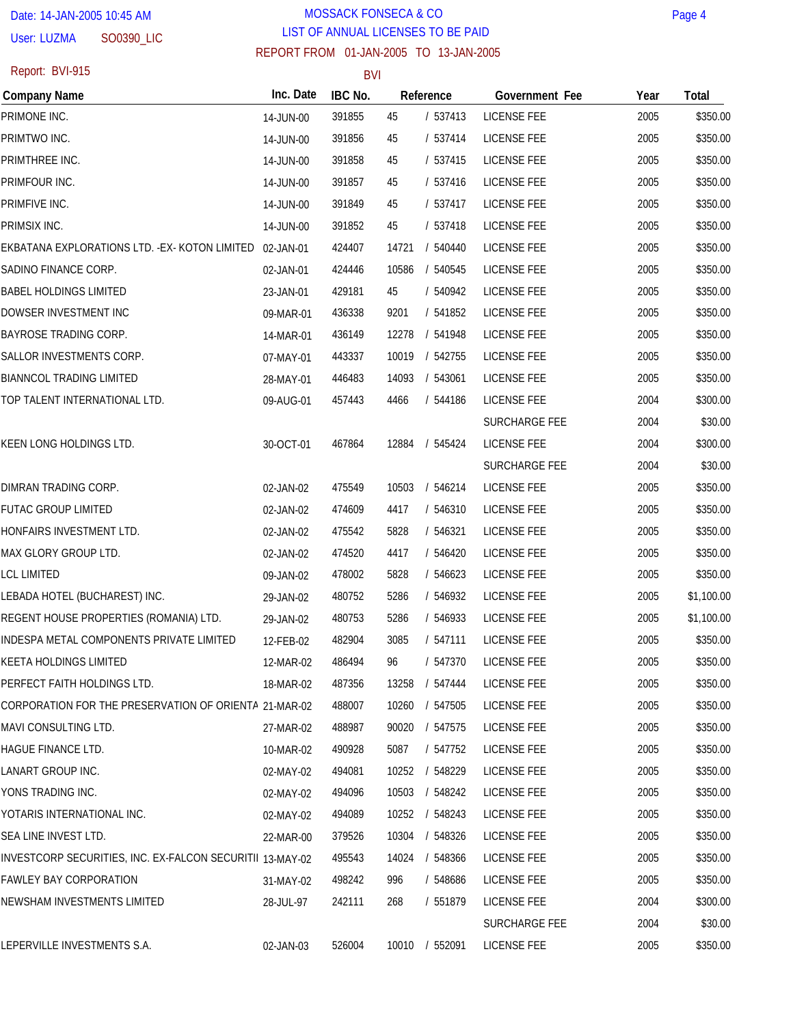#### SO0390\_LIC **User: LUZMA**

## LIST OF ANNUAL LICENSES TO BE PAID REPORT FROM 01-JAN-2005 TO 13-JAN-2005 MOSSACK FONSECA & CO Page 4

# Report: BVI-915

| Report: BVI-915                                |           | <b>BVI</b> |       |           |                      |      |            |
|------------------------------------------------|-----------|------------|-------|-----------|----------------------|------|------------|
| Company Name                                   | Inc. Date | IBC No.    |       | Reference | Government Fee       | Year | Total      |
| PRIMONE INC.                                   | 14-JUN-00 | 391855     | 45    | / 537413  | <b>LICENSE FEE</b>   | 2005 | \$350.00   |
| PRIMTWO INC.                                   | 14-JUN-00 | 391856     | 45    | / 537414  | <b>LICENSE FEE</b>   | 2005 | \$350.00   |
| PRIMTHREE INC.                                 | 14-JUN-00 | 391858     | 45    | / 537415  | <b>LICENSE FEE</b>   | 2005 | \$350.00   |
| PRIMFOUR INC.                                  | 14-JUN-00 | 391857     | 45    | / 537416  | <b>LICENSE FEE</b>   | 2005 | \$350.00   |
| PRIMFIVE INC.                                  | 14-JUN-00 | 391849     | 45    | / 537417  | <b>LICENSE FEE</b>   | 2005 | \$350.00   |
| PRIMSIX INC.                                   | 14-JUN-00 | 391852     | 45    | / 537418  | <b>LICENSE FEE</b>   | 2005 | \$350.00   |
| EKBATANA EXPLORATIONS LTD. - EX- KOTON LIMITED | 02-JAN-01 | 424407     | 14721 | / 540440  | LICENSE FEE          | 2005 | \$350.00   |
| SADINO FINANCE CORP.                           | 02-JAN-01 | 424446     | 10586 | / 540545  | <b>LICENSE FEE</b>   | 2005 | \$350.00   |
| <b>BABEL HOLDINGS LIMITED</b>                  | 23-JAN-01 | 429181     | 45    | / 540942  | <b>LICENSE FEE</b>   | 2005 | \$350.00   |
| DOWSER INVESTMENT INC                          | 09-MAR-01 | 436338     | 9201  | / 541852  | <b>LICENSE FEE</b>   | 2005 | \$350.00   |
| <b>BAYROSE TRADING CORP.</b>                   | 14-MAR-01 | 436149     | 12278 | / 541948  | <b>LICENSE FEE</b>   | 2005 | \$350.00   |
| SALLOR INVESTMENTS CORP.                       | 07-MAY-01 | 443337     | 10019 | / 542755  | <b>LICENSE FEE</b>   | 2005 | \$350.00   |
| <b>BIANNCOL TRADING LIMITED</b>                | 28-MAY-01 | 446483     | 14093 | / 543061  | <b>LICENSE FEE</b>   | 2005 | \$350.00   |
| TOP TALENT INTERNATIONAL LTD.                  | 09-AUG-01 | 457443     | 4466  | / 544186  | <b>LICENSE FEE</b>   | 2004 | \$300.00   |
|                                                |           |            |       |           | SURCHARGE FEE        | 2004 | \$30.00    |
| KEEN LONG HOLDINGS LTD.                        | 30-OCT-01 | 467864     | 12884 | / 545424  | <b>LICENSE FEE</b>   | 2004 | \$300.00   |
|                                                |           |            |       |           | <b>SURCHARGE FEE</b> | 2004 | \$30.00    |
| DIMRAN TRADING CORP.                           | 02-JAN-02 | 475549     | 10503 | / 546214  | <b>LICENSE FEE</b>   | 2005 | \$350.00   |
| <b>FUTAC GROUP LIMITED</b>                     | 02-JAN-02 | 474609     | 4417  | / 546310  | <b>LICENSE FEE</b>   | 2005 | \$350.00   |
| HONFAIRS INVESTMENT LTD.                       | 02-JAN-02 | 475542     | 5828  | / 546321  | <b>LICENSE FEE</b>   | 2005 | \$350.00   |
| MAX GLORY GROUP LTD.                           | 02-JAN-02 | 474520     | 4417  | / 546420  | <b>LICENSE FEE</b>   | 2005 | \$350.00   |
| <b>LCL LIMITED</b>                             | 09-JAN-02 | 478002     | 5828  | / 546623  | <b>LICENSE FEE</b>   | 2005 | \$350.00   |
| LEBADA HOTEL (BUCHAREST) INC.                  | 29-JAN-02 | 480752     | 5286  | / 546932  | <b>LICENSE FEE</b>   | 2005 | \$1,100.00 |
| REGENT HOUSE PROPERTIES (ROMANIA) LTD.         | 29-JAN-02 | 480753     | 5286  | / 546933  | <b>LICENSE FEE</b>   | 2005 | \$1,100.00 |
| INDESPA METAL COMPONENTS PRIVATE LIMITED       | 12-FEB-02 | 482904     | 3085  | / 547111  | LICENSE FEE          | 2005 | \$350.00   |
| KEETA HOLDINGS LIMITED                         | 12-MAR-02 | 486494     | 96    | / 547370  | LICENSE FEE          | 2005 | \$350.00   |
|                                                |           |            |       |           |                      |      |            |

| KEETA HOLDINGS LIMITED                                    | 12-MAR-02 | 486494 | 96    | 547370 | <b>LICENSE FEE</b>   | 2005 | \$350.00 |
|-----------------------------------------------------------|-----------|--------|-------|--------|----------------------|------|----------|
| PERFECT FAITH HOLDINGS LTD.                               | 18-MAR-02 | 487356 | 13258 | 547444 | LICENSE FEE          | 2005 | \$350.00 |
| CORPORATION FOR THE PRESERVATION OF ORIENTA 21-MAR-02     |           | 488007 | 10260 | 547505 | LICENSE FEE          | 2005 | \$350.00 |
| <b>MAVI CONSULTING LTD.</b>                               | 27-MAR-02 | 488987 | 90020 | 547575 | <b>LICENSE FEE</b>   | 2005 | \$350.00 |
| <b>HAGUE FINANCE LTD.</b>                                 | 10-MAR-02 | 490928 | 5087  | 547752 | LICENSE FEE          | 2005 | \$350.00 |
| LANART GROUP INC.                                         | 02-MAY-02 | 494081 | 10252 | 548229 | LICENSE FEE          | 2005 | \$350.00 |
| YONS TRADING INC.                                         | 02-MAY-02 | 494096 | 10503 | 548242 | LICENSE FEE          | 2005 | \$350.00 |
| YOTARIS INTERNATIONAL INC.                                | 02-MAY-02 | 494089 | 10252 | 548243 | LICENSE FEE          | 2005 | \$350.00 |
| SEA LINE INVEST LTD.                                      | 22-MAR-00 | 379526 | 10304 | 548326 | <b>LICENSE FEE</b>   | 2005 | \$350.00 |
| INVESTCORP SECURITIES, INC. EX-FALCON SECURITII 13-MAY-02 |           | 495543 | 14024 | 548366 | <b>LICENSE FEE</b>   | 2005 | \$350.00 |
| <b>FAWLEY BAY CORPORATION</b>                             | 31-MAY-02 | 498242 | 996   | 548686 | <b>LICENSE FEE</b>   | 2005 | \$350.00 |
| NEWSHAM INVESTMENTS LIMITED                               | 28-JUL-97 | 242111 | 268   | 551879 | <b>LICENSE FEE</b>   | 2004 | \$300.00 |
|                                                           |           |        |       |        | <b>SURCHARGE FEE</b> | 2004 | \$30.00  |
| LEPERVILLE INVESTMENTS S.A.                               | 02-JAN-03 | 526004 | 10010 | 552091 | <b>LICENSE FEE</b>   | 2005 | \$350.00 |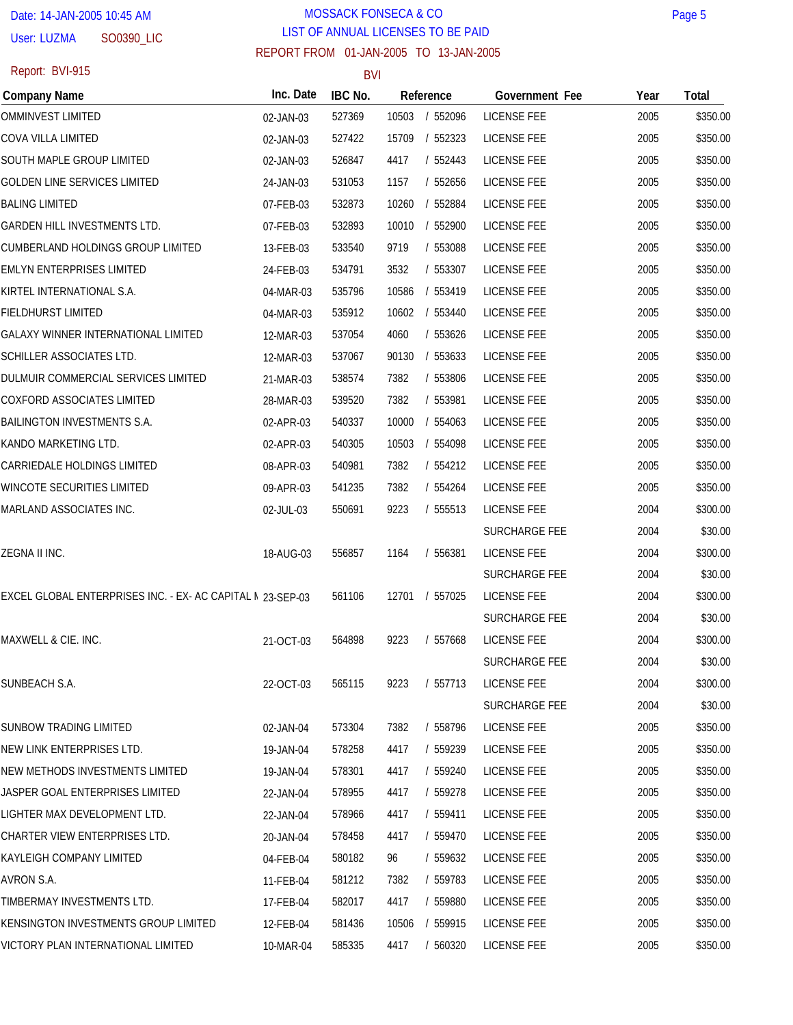SO0390\_LIC User: LUZMA

Report: BVI-915

## LIST OF ANNUAL LICENSES TO BE PAID REPORT FROM 01-JAN-2005 TO 13-JAN-2005 MOSSACK FONSECA & CO Page 5

| Report: BVI-915                                            |           | <b>BVI</b> |       |           |                      |      |          |
|------------------------------------------------------------|-----------|------------|-------|-----------|----------------------|------|----------|
| Company Name                                               | Inc. Date | IBC No.    |       | Reference | Government Fee       | Year | Total    |
| <b>OMMINVEST LIMITED</b>                                   | 02-JAN-03 | 527369     | 10503 | / 552096  | <b>LICENSE FEE</b>   | 2005 | \$350.00 |
| COVA VILLA LIMITED                                         | 02-JAN-03 | 527422     | 15709 | / 552323  | LICENSE FEE          | 2005 | \$350.00 |
| SOUTH MAPLE GROUP LIMITED                                  | 02-JAN-03 | 526847     | 4417  | / 552443  | <b>LICENSE FEE</b>   | 2005 | \$350.00 |
| <b>GOLDEN LINE SERVICES LIMITED</b>                        | 24-JAN-03 | 531053     | 1157  | / 552656  | <b>LICENSE FEE</b>   | 2005 | \$350.00 |
| <b>BALING LIMITED</b>                                      | 07-FEB-03 | 532873     | 10260 | / 552884  | <b>LICENSE FEE</b>   | 2005 | \$350.00 |
| GARDEN HILL INVESTMENTS LTD.                               | 07-FEB-03 | 532893     | 10010 | / 552900  | <b>LICENSE FEE</b>   | 2005 | \$350.00 |
| CUMBERLAND HOLDINGS GROUP LIMITED                          | 13-FEB-03 | 533540     | 9719  | / 553088  | <b>LICENSE FEE</b>   | 2005 | \$350.00 |
| EMLYN ENTERPRISES LIMITED                                  | 24-FEB-03 | 534791     | 3532  | / 553307  | <b>LICENSE FEE</b>   | 2005 | \$350.00 |
| KIRTEL INTERNATIONAL S.A.                                  | 04-MAR-03 | 535796     | 10586 | / 553419  | <b>LICENSE FEE</b>   | 2005 | \$350.00 |
| FIELDHURST LIMITED                                         | 04-MAR-03 | 535912     | 10602 | / 553440  | <b>LICENSE FEE</b>   | 2005 | \$350.00 |
| <b>GALAXY WINNER INTERNATIONAL LIMITED</b>                 | 12-MAR-03 | 537054     | 4060  | / 553626  | <b>LICENSE FEE</b>   | 2005 | \$350.00 |
| SCHILLER ASSOCIATES LTD.                                   | 12-MAR-03 | 537067     | 90130 | / 553633  | <b>LICENSE FEE</b>   | 2005 | \$350.00 |
| DULMUIR COMMERCIAL SERVICES LIMITED                        | 21-MAR-03 | 538574     | 7382  | / 553806  | <b>LICENSE FEE</b>   | 2005 | \$350.00 |
| <b>COXFORD ASSOCIATES LIMITED</b>                          | 28-MAR-03 | 539520     | 7382  | / 553981  | LICENSE FEE          | 2005 | \$350.00 |
| BAILINGTON INVESTMENTS S.A.                                | 02-APR-03 | 540337     | 10000 | / 554063  | <b>LICENSE FEE</b>   | 2005 | \$350.00 |
| KANDO MARKETING LTD.                                       | 02-APR-03 | 540305     | 10503 | / 554098  | <b>LICENSE FEE</b>   | 2005 | \$350.00 |
| CARRIEDALE HOLDINGS LIMITED                                | 08-APR-03 | 540981     | 7382  | / 554212  | <b>LICENSE FEE</b>   | 2005 | \$350.00 |
| <b>WINCOTE SECURITIES LIMITED</b>                          | 09-APR-03 | 541235     | 7382  | / 554264  | <b>LICENSE FEE</b>   | 2005 | \$350.00 |
| MARLAND ASSOCIATES INC.                                    | 02-JUL-03 | 550691     | 9223  | / 555513  | <b>LICENSE FEE</b>   | 2004 | \$300.00 |
|                                                            |           |            |       |           | <b>SURCHARGE FEE</b> | 2004 | \$30.00  |
| ZEGNA II INC.                                              | 18-AUG-03 | 556857     | 1164  | / 556381  | <b>LICENSE FEE</b>   | 2004 | \$300.00 |
|                                                            |           |            |       |           | <b>SURCHARGE FEE</b> | 2004 | \$30.00  |
| EXCEL GLOBAL ENTERPRISES INC. - EX- AC CAPITAL N 23-SEP-03 |           | 561106     | 12701 | / 557025  | <b>LICENSE FEE</b>   | 2004 | \$300.00 |
|                                                            |           |            |       |           | SURCHARGE FEE        | 2004 | \$30.00  |
| MAXWELL & CIE. INC.                                        | 21-OCT-03 | 564898     | 9223  | / 557668  | <b>LICENSE FEE</b>   | 2004 | \$300.00 |
|                                                            |           |            |       |           | <b>SURCHARGE FEE</b> | 2004 | \$30.00  |
| SUNBEACH S.A.                                              | 22-OCT-03 | 565115     | 9223  | / 557713  | <b>LICENSE FEE</b>   | 2004 | \$300.00 |
|                                                            |           |            |       |           | <b>SURCHARGE FEE</b> | 2004 | \$30.00  |
| <b>SUNBOW TRADING LIMITED</b>                              | 02-JAN-04 | 573304     | 7382  | / 558796  | <b>LICENSE FEE</b>   | 2005 | \$350.00 |
| NEW LINK ENTERPRISES LTD.                                  | 19-JAN-04 | 578258     | 4417  | / 559239  | <b>LICENSE FEE</b>   | 2005 | \$350.00 |
| NEW METHODS INVESTMENTS LIMITED                            | 19-JAN-04 | 578301     | 4417  | / 559240  | LICENSE FEE          | 2005 | \$350.00 |
| JASPER GOAL ENTERPRISES LIMITED                            | 22-JAN-04 | 578955     | 4417  | / 559278  | <b>LICENSE FEE</b>   | 2005 | \$350.00 |
| LIGHTER MAX DEVELOPMENT LTD.                               | 22-JAN-04 | 578966     | 4417  | / 559411  | LICENSE FEE          | 2005 | \$350.00 |
| CHARTER VIEW ENTERPRISES LTD.                              | 20-JAN-04 | 578458     | 4417  | / 559470  | <b>LICENSE FEE</b>   | 2005 | \$350.00 |
| KAYLEIGH COMPANY LIMITED                                   | 04-FEB-04 | 580182     | 96    | / 559632  | <b>LICENSE FEE</b>   | 2005 | \$350.00 |
| AVRON S.A.                                                 | 11-FEB-04 | 581212     | 7382  | / 559783  | LICENSE FEE          | 2005 | \$350.00 |
| TIMBERMAY INVESTMENTS LTD.                                 | 17-FEB-04 | 582017     | 4417  | / 559880  | LICENSE FEE          | 2005 | \$350.00 |
| KENSINGTON INVESTMENTS GROUP LIMITED                       | 12-FEB-04 | 581436     | 10506 | / 559915  | LICENSE FEE          | 2005 | \$350.00 |
| VICTORY PLAN INTERNATIONAL LIMITED                         | 10-MAR-04 | 585335     | 4417  | / 560320  | LICENSE FEE          | 2005 | \$350.00 |